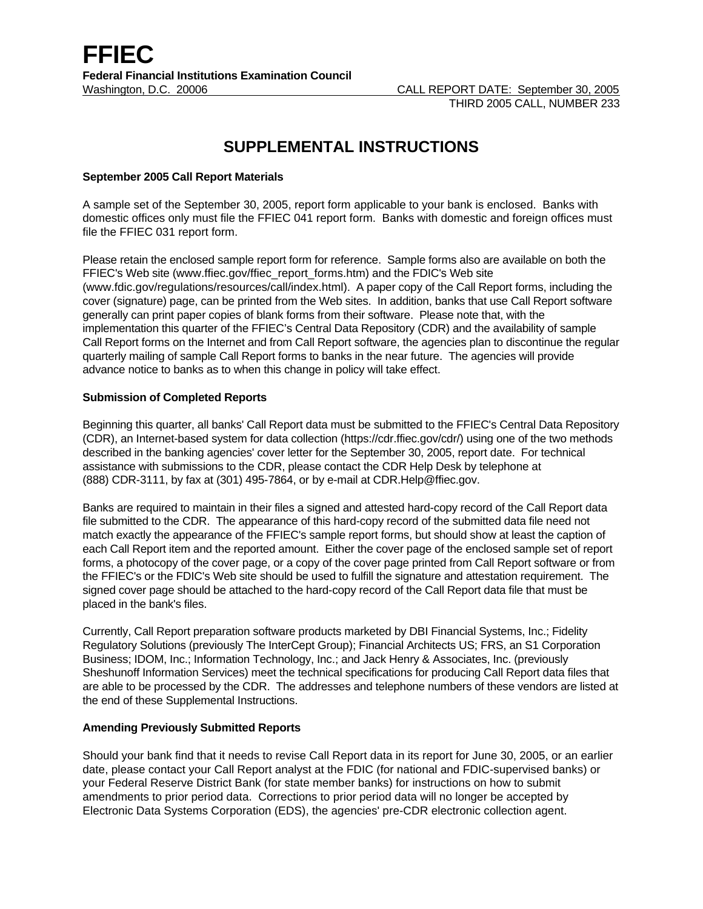# **SUPPLEMENTAL INSTRUCTIONS**

## **September 2005 Call Report Materials**

A sample set of the September 30, 2005, report form applicable to your bank is enclosed. Banks with domestic offices only must file the FFIEC 041 report form. Banks with domestic and foreign offices must file the FFIEC 031 report form.

Please retain the enclosed sample report form for reference. Sample forms also are available on both the FFIEC's Web site (www.ffiec.gov/ffiec\_report\_forms.htm) and the FDIC's Web site (www.fdic.gov/regulations/resources/call/index.html). A paper copy of the Call Report forms, including the cover (signature) page, can be printed from the Web sites. In addition, banks that use Call Report software generally can print paper copies of blank forms from their software. Please note that, with the implementation this quarter of the FFIEC's Central Data Repository (CDR) and the availability of sample Call Report forms on the Internet and from Call Report software, the agencies plan to discontinue the regular quarterly mailing of sample Call Report forms to banks in the near future. The agencies will provide advance notice to banks as to when this change in policy will take effect.

## **Submission of Completed Reports**

Beginning this quarter, all banks' Call Report data must be submitted to the FFIEC's Central Data Repository (CDR), an Internet-based system for data collection (https://cdr.ffiec.gov/cdr/) using one of the two methods described in the banking agencies' cover letter for the September 30, 2005, report date. For technical assistance with submissions to the CDR, please contact the CDR Help Desk by telephone at (888) CDR-3111, by fax at (301) 495-7864, or by e-mail at CDR.Help@ffiec.gov.

Banks are required to maintain in their files a signed and attested hard-copy record of the Call Report data file submitted to the CDR. The appearance of this hard-copy record of the submitted data file need not match exactly the appearance of the FFIEC's sample report forms, but should show at least the caption of each Call Report item and the reported amount. Either the cover page of the enclosed sample set of report forms, a photocopy of the cover page, or a copy of the cover page printed from Call Report software or from the FFIEC's or the FDIC's Web site should be used to fulfill the signature and attestation requirement. The signed cover page should be attached to the hard-copy record of the Call Report data file that must be placed in the bank's files.

Currently, Call Report preparation software products marketed by DBI Financial Systems, Inc.; Fidelity Regulatory Solutions (previously The InterCept Group); Financial Architects US; FRS, an S1 Corporation Business; IDOM, Inc.; Information Technology, Inc.; and Jack Henry & Associates, Inc. (previously Sheshunoff Information Services) meet the technical specifications for producing Call Report data files that are able to be processed by the CDR. The addresses and telephone numbers of these vendors are listed at the end of these Supplemental Instructions.

#### **Amending Previously Submitted Reports**

Should your bank find that it needs to revise Call Report data in its report for June 30, 2005, or an earlier date, please contact your Call Report analyst at the FDIC (for national and FDIC-supervised banks) or your Federal Reserve District Bank (for state member banks) for instructions on how to submit amendments to prior period data. Corrections to prior period data will no longer be accepted by Electronic Data Systems Corporation (EDS), the agencies' pre-CDR electronic collection agent.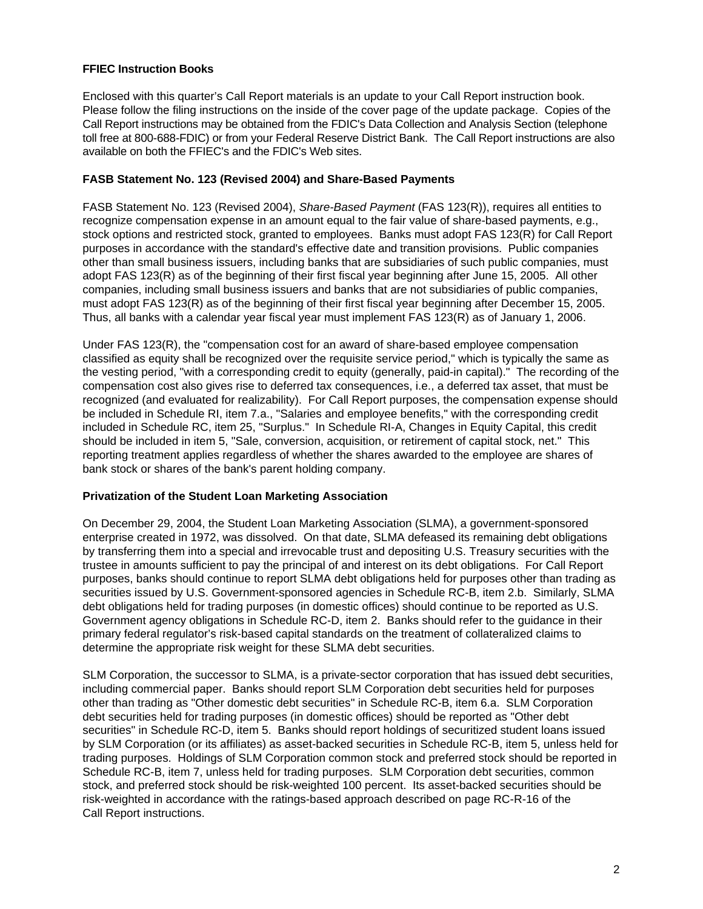# **FFIEC Instruction Books**

Enclosed with this quarter's Call Report materials is an update to your Call Report instruction book. Please follow the filing instructions on the inside of the cover page of the update package. Copies of the Call Report instructions may be obtained from the FDIC's Data Collection and Analysis Section (telephone toll free at 800-688-FDIC) or from your Federal Reserve District Bank. The Call Report instructions are also available on both the FFIEC's and the FDIC's Web sites.

# **FASB Statement No. 123 (Revised 2004) and Share-Based Payments**

FASB Statement No. 123 (Revised 2004), *Share-Based Payment* (FAS 123(R)), requires all entities to recognize compensation expense in an amount equal to the fair value of share-based payments, e.g., stock options and restricted stock, granted to employees. Banks must adopt FAS 123(R) for Call Report purposes in accordance with the standard's effective date and transition provisions. Public companies other than small business issuers, including banks that are subsidiaries of such public companies, must adopt FAS 123(R) as of the beginning of their first fiscal year beginning after June 15, 2005. All other companies, including small business issuers and banks that are not subsidiaries of public companies, must adopt FAS 123(R) as of the beginning of their first fiscal year beginning after December 15, 2005. Thus, all banks with a calendar year fiscal year must implement FAS 123(R) as of January 1, 2006.

Under FAS 123(R), the "compensation cost for an award of share-based employee compensation classified as equity shall be recognized over the requisite service period," which is typically the same as the vesting period, "with a corresponding credit to equity (generally, paid-in capital)." The recording of the compensation cost also gives rise to deferred tax consequences, i.e., a deferred tax asset, that must be recognized (and evaluated for realizability). For Call Report purposes, the compensation expense should be included in Schedule RI, item 7.a., "Salaries and employee benefits," with the corresponding credit included in Schedule RC, item 25, "Surplus." In Schedule RI-A, Changes in Equity Capital, this credit should be included in item 5, "Sale, conversion, acquisition, or retirement of capital stock, net." This reporting treatment applies regardless of whether the shares awarded to the employee are shares of bank stock or shares of the bank's parent holding company.

# **Privatization of the Student Loan Marketing Association**

On December 29, 2004, the Student Loan Marketing Association (SLMA), a government-sponsored enterprise created in 1972, was dissolved. On that date, SLMA defeased its remaining debt obligations by transferring them into a special and irrevocable trust and depositing U.S. Treasury securities with the trustee in amounts sufficient to pay the principal of and interest on its debt obligations. For Call Report purposes, banks should continue to report SLMA debt obligations held for purposes other than trading as securities issued by U.S. Government-sponsored agencies in Schedule RC-B, item 2.b. Similarly, SLMA debt obligations held for trading purposes (in domestic offices) should continue to be reported as U.S. Government agency obligations in Schedule RC-D, item 2. Banks should refer to the guidance in their primary federal regulator's risk-based capital standards on the treatment of collateralized claims to determine the appropriate risk weight for these SLMA debt securities.

SLM Corporation, the successor to SLMA, is a private-sector corporation that has issued debt securities, including commercial paper. Banks should report SLM Corporation debt securities held for purposes other than trading as "Other domestic debt securities" in Schedule RC-B, item 6.a. SLM Corporation debt securities held for trading purposes (in domestic offices) should be reported as "Other debt securities" in Schedule RC-D, item 5. Banks should report holdings of securitized student loans issued by SLM Corporation (or its affiliates) as asset-backed securities in Schedule RC-B, item 5, unless held for trading purposes. Holdings of SLM Corporation common stock and preferred stock should be reported in Schedule RC-B, item 7, unless held for trading purposes. SLM Corporation debt securities, common stock, and preferred stock should be risk-weighted 100 percent. Its asset-backed securities should be risk-weighted in accordance with the ratings-based approach described on page RC-R-16 of the Call Report instructions.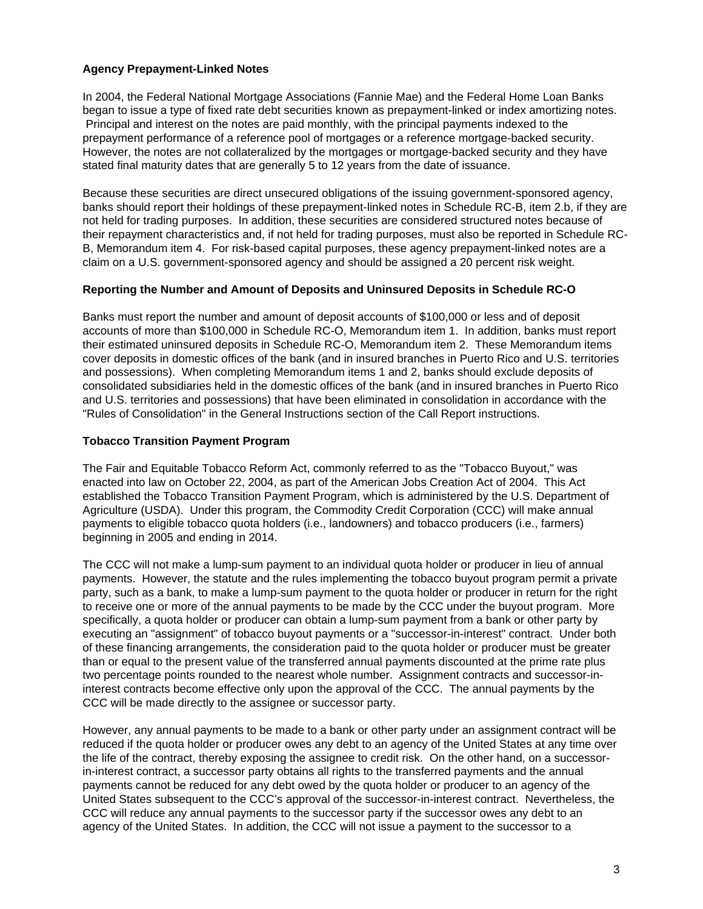# **Agency Prepayment-Linked Notes**

In 2004, the Federal National Mortgage Associations (Fannie Mae) and the Federal Home Loan Banks began to issue a type of fixed rate debt securities known as prepayment-linked or index amortizing notes. Principal and interest on the notes are paid monthly, with the principal payments indexed to the prepayment performance of a reference pool of mortgages or a reference mortgage-backed security. However, the notes are not collateralized by the mortgages or mortgage-backed security and they have stated final maturity dates that are generally 5 to 12 years from the date of issuance.

Because these securities are direct unsecured obligations of the issuing government-sponsored agency, banks should report their holdings of these prepayment-linked notes in Schedule RC-B, item 2.b, if they are not held for trading purposes. In addition, these securities are considered structured notes because of their repayment characteristics and, if not held for trading purposes, must also be reported in Schedule RC-B, Memorandum item 4. For risk-based capital purposes, these agency prepayment-linked notes are a claim on a U.S. government-sponsored agency and should be assigned a 20 percent risk weight.

# **Reporting the Number and Amount of Deposits and Uninsured Deposits in Schedule RC-O**

Banks must report the number and amount of deposit accounts of \$100,000 or less and of deposit accounts of more than \$100,000 in Schedule RC-O, Memorandum item 1. In addition, banks must report their estimated uninsured deposits in Schedule RC-O, Memorandum item 2. These Memorandum items cover deposits in domestic offices of the bank (and in insured branches in Puerto Rico and U.S. territories and possessions). When completing Memorandum items 1 and 2, banks should exclude deposits of consolidated subsidiaries held in the domestic offices of the bank (and in insured branches in Puerto Rico and U.S. territories and possessions) that have been eliminated in consolidation in accordance with the "Rules of Consolidation" in the General Instructions section of the Call Report instructions.

## **Tobacco Transition Payment Program**

The Fair and Equitable Tobacco Reform Act, commonly referred to as the "Tobacco Buyout," was enacted into law on October 22, 2004, as part of the American Jobs Creation Act of 2004. This Act established the Tobacco Transition Payment Program, which is administered by the U.S. Department of Agriculture (USDA). Under this program, the Commodity Credit Corporation (CCC) will make annual payments to eligible tobacco quota holders (i.e., landowners) and tobacco producers (i.e., farmers) beginning in 2005 and ending in 2014.

The CCC will not make a lump-sum payment to an individual quota holder or producer in lieu of annual payments. However, the statute and the rules implementing the tobacco buyout program permit a private party, such as a bank, to make a lump-sum payment to the quota holder or producer in return for the right to receive one or more of the annual payments to be made by the CCC under the buyout program. More specifically, a quota holder or producer can obtain a lump-sum payment from a bank or other party by executing an "assignment" of tobacco buyout payments or a "successor-in-interest" contract. Under both of these financing arrangements, the consideration paid to the quota holder or producer must be greater than or equal to the present value of the transferred annual payments discounted at the prime rate plus two percentage points rounded to the nearest whole number. Assignment contracts and successor-ininterest contracts become effective only upon the approval of the CCC. The annual payments by the CCC will be made directly to the assignee or successor party.

However, any annual payments to be made to a bank or other party under an assignment contract will be reduced if the quota holder or producer owes any debt to an agency of the United States at any time over the life of the contract, thereby exposing the assignee to credit risk. On the other hand, on a successorin-interest contract, a successor party obtains all rights to the transferred payments and the annual payments cannot be reduced for any debt owed by the quota holder or producer to an agency of the United States subsequent to the CCC's approval of the successor-in-interest contract. Nevertheless, the CCC will reduce any annual payments to the successor party if the successor owes any debt to an agency of the United States. In addition, the CCC will not issue a payment to the successor to a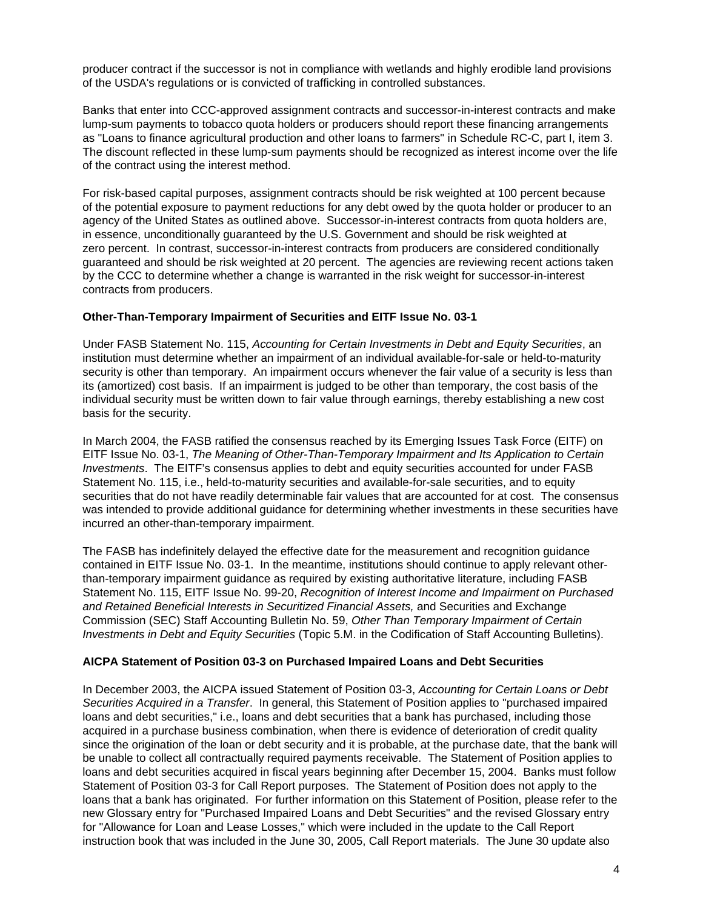producer contract if the successor is not in compliance with wetlands and highly erodible land provisions of the USDA's regulations or is convicted of trafficking in controlled substances.

Banks that enter into CCC-approved assignment contracts and successor-in-interest contracts and make lump-sum payments to tobacco quota holders or producers should report these financing arrangements as "Loans to finance agricultural production and other loans to farmers" in Schedule RC-C, part I, item 3. The discount reflected in these lump-sum payments should be recognized as interest income over the life of the contract using the interest method.

For risk-based capital purposes, assignment contracts should be risk weighted at 100 percent because of the potential exposure to payment reductions for any debt owed by the quota holder or producer to an agency of the United States as outlined above. Successor-in-interest contracts from quota holders are, in essence, unconditionally guaranteed by the U.S. Government and should be risk weighted at zero percent. In contrast, successor-in-interest contracts from producers are considered conditionally guaranteed and should be risk weighted at 20 percent. The agencies are reviewing recent actions taken by the CCC to determine whether a change is warranted in the risk weight for successor-in-interest contracts from producers.

## **Other-Than-Temporary Impairment of Securities and EITF Issue No. 03-1**

Under FASB Statement No. 115, *Accounting for Certain Investments in Debt and Equity Securities*, an institution must determine whether an impairment of an individual available-for-sale or held-to-maturity security is other than temporary. An impairment occurs whenever the fair value of a security is less than its (amortized) cost basis. If an impairment is judged to be other than temporary, the cost basis of the individual security must be written down to fair value through earnings, thereby establishing a new cost basis for the security.

In March 2004, the FASB ratified the consensus reached by its Emerging Issues Task Force (EITF) on EITF Issue No. 03-1, *The Meaning of Other-Than-Temporary Impairment and Its Application to Certain Investments*. The EITF's consensus applies to debt and equity securities accounted for under FASB Statement No. 115, i.e., held-to-maturity securities and available-for-sale securities, and to equity securities that do not have readily determinable fair values that are accounted for at cost. The consensus was intended to provide additional guidance for determining whether investments in these securities have incurred an other-than-temporary impairment.

The FASB has indefinitely delayed the effective date for the measurement and recognition guidance contained in EITF Issue No. 03-1. In the meantime, institutions should continue to apply relevant otherthan-temporary impairment guidance as required by existing authoritative literature, including FASB Statement No. 115, EITF Issue No. 99-20, *Recognition of Interest Income and Impairment on Purchased and Retained Beneficial Interests in Securitized Financial Assets,* and Securities and Exchange Commission (SEC) Staff Accounting Bulletin No. 59, *Other Than Temporary Impairment of Certain Investments in Debt and Equity Securities* (Topic 5.M. in the Codification of Staff Accounting Bulletins).

#### **AICPA Statement of Position 03-3 on Purchased Impaired Loans and Debt Securities**

In December 2003, the AICPA issued Statement of Position 03-3, *Accounting for Certain Loans or Debt Securities Acquired in a Transfer*. In general, this Statement of Position applies to "purchased impaired loans and debt securities," i.e., loans and debt securities that a bank has purchased, including those acquired in a purchase business combination, when there is evidence of deterioration of credit quality since the origination of the loan or debt security and it is probable, at the purchase date, that the bank will be unable to collect all contractually required payments receivable. The Statement of Position applies to loans and debt securities acquired in fiscal years beginning after December 15, 2004. Banks must follow Statement of Position 03-3 for Call Report purposes. The Statement of Position does not apply to the loans that a bank has originated. For further information on this Statement of Position, please refer to the new Glossary entry for "Purchased Impaired Loans and Debt Securities" and the revised Glossary entry for "Allowance for Loan and Lease Losses," which were included in the update to the Call Report instruction book that was included in the June 30, 2005, Call Report materials. The June 30 update also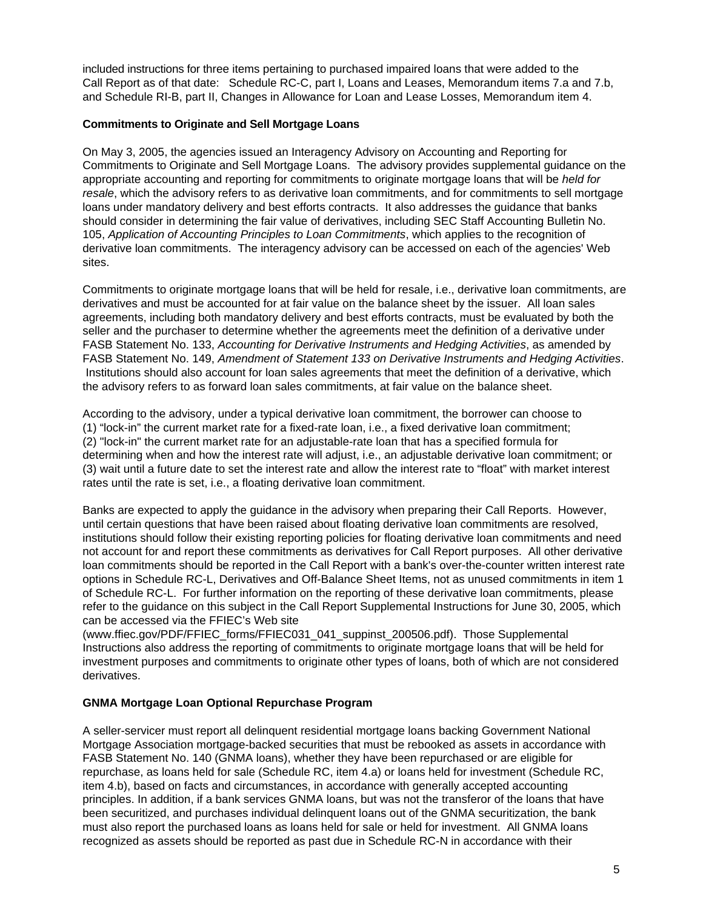included instructions for three items pertaining to purchased impaired loans that were added to the Call Report as of that date: Schedule RC-C, part I, Loans and Leases, Memorandum items 7.a and 7.b, and Schedule RI-B, part II, Changes in Allowance for Loan and Lease Losses, Memorandum item 4.

## **Commitments to Originate and Sell Mortgage Loans**

On May 3, 2005, the agencies issued an Interagency Advisory on Accounting and Reporting for Commitments to Originate and Sell Mortgage Loans. The advisory provides supplemental guidance on the appropriate accounting and reporting for commitments to originate mortgage loans that will be *held for resale*, which the advisory refers to as derivative loan commitments, and for commitments to sell mortgage loans under mandatory delivery and best efforts contracts. It also addresses the guidance that banks should consider in determining the fair value of derivatives, including SEC Staff Accounting Bulletin No. 105, *Application of Accounting Principles to Loan Commitments*, which applies to the recognition of derivative loan commitments. The interagency advisory can be accessed on each of the agencies' Web sites.

Commitments to originate mortgage loans that will be held for resale, i.e., derivative loan commitments, are derivatives and must be accounted for at fair value on the balance sheet by the issuer. All loan sales agreements, including both mandatory delivery and best efforts contracts, must be evaluated by both the seller and the purchaser to determine whether the agreements meet the definition of a derivative under FASB Statement No. 133, *Accounting for Derivative Instruments and Hedging Activities*, as amended by FASB Statement No. 149, *Amendment of Statement 133 on Derivative Instruments and Hedging Activities*. Institutions should also account for loan sales agreements that meet the definition of a derivative, which the advisory refers to as forward loan sales commitments, at fair value on the balance sheet.

According to the advisory, under a typical derivative loan commitment, the borrower can choose to (1) "lock-in" the current market rate for a fixed-rate loan, i.e., a fixed derivative loan commitment; (2) "lock-in" the current market rate for an adjustable-rate loan that has a specified formula for determining when and how the interest rate will adjust, i.e., an adjustable derivative loan commitment; or (3) wait until a future date to set the interest rate and allow the interest rate to "float" with market interest rates until the rate is set, i.e., a floating derivative loan commitment.

Banks are expected to apply the guidance in the advisory when preparing their Call Reports. However, until certain questions that have been raised about floating derivative loan commitments are resolved, institutions should follow their existing reporting policies for floating derivative loan commitments and need not account for and report these commitments as derivatives for Call Report purposes. All other derivative loan commitments should be reported in the Call Report with a bank's over-the-counter written interest rate options in Schedule RC-L, Derivatives and Off-Balance Sheet Items, not as unused commitments in item 1 of Schedule RC-L. For further information on the reporting of these derivative loan commitments, please refer to the guidance on this subject in the Call Report Supplemental Instructions for June 30, 2005, which can be accessed via the FFIEC's Web site

(www.ffiec.gov/PDF/FFIEC\_forms/FFIEC031\_041\_suppinst\_200506.pdf). Those Supplemental Instructions also address the reporting of commitments to originate mortgage loans that will be held for investment purposes and commitments to originate other types of loans, both of which are not considered derivatives.

#### **GNMA Mortgage Loan Optional Repurchase Program**

A seller-servicer must report all delinquent residential mortgage loans backing Government National Mortgage Association mortgage-backed securities that must be rebooked as assets in accordance with FASB Statement No. 140 (GNMA loans), whether they have been repurchased or are eligible for repurchase, as loans held for sale (Schedule RC, item 4.a) or loans held for investment (Schedule RC, item 4.b), based on facts and circumstances, in accordance with generally accepted accounting principles. In addition, if a bank services GNMA loans, but was not the transferor of the loans that have been securitized, and purchases individual delinquent loans out of the GNMA securitization, the bank must also report the purchased loans as loans held for sale or held for investment. All GNMA loans recognized as assets should be reported as past due in Schedule RC-N in accordance with their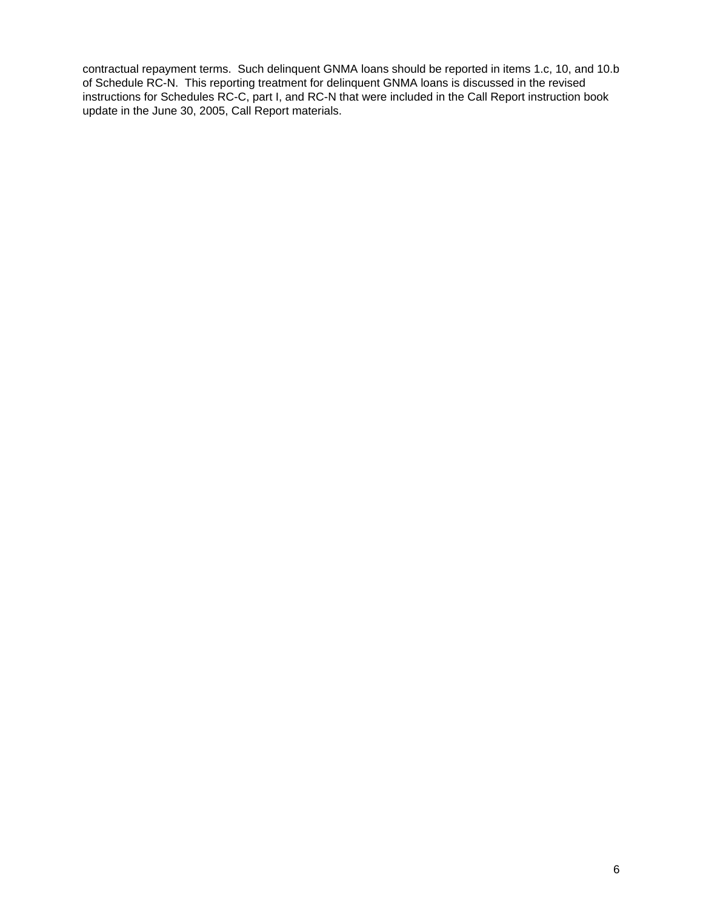contractual repayment terms. Such delinquent GNMA loans should be reported in items 1.c, 10, and 10.b of Schedule RC-N. This reporting treatment for delinquent GNMA loans is discussed in the revised instructions for Schedules RC-C, part I, and RC-N that were included in the Call Report instruction book update in the June 30, 2005, Call Report materials.